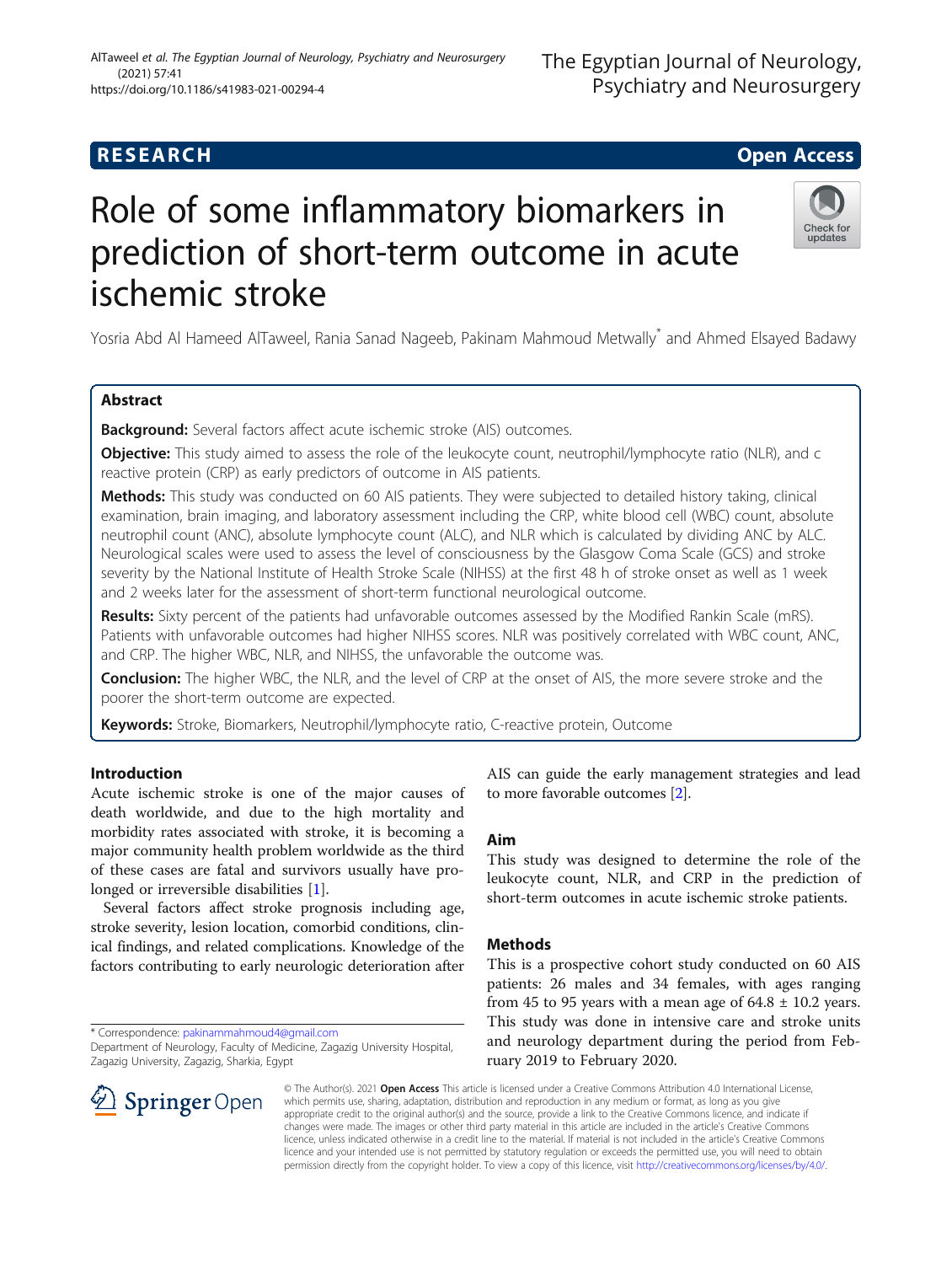# **RESEARCH CHE Open Access**

# Role of some inflammatory biomarkers in prediction of short-term outcome in acute ischemic stroke

Yosria Abd Al Hameed AlTaweel, Rania Sanad Nageeb, Pakinam Mahmoud Metwally\* and Ahmed Elsayed Badawy

# Abstract

Backaround: Several factors affect acute ischemic stroke (AIS) outcomes.

Objective: This study aimed to assess the role of the leukocyte count, neutrophil/lymphocyte ratio (NLR), and c reactive protein (CRP) as early predictors of outcome in AIS patients.

Methods: This study was conducted on 60 AIS patients. They were subjected to detailed history taking, clinical examination, brain imaging, and laboratory assessment including the CRP, white blood cell (WBC) count, absolute neutrophil count (ANC), absolute lymphocyte count (ALC), and NLR which is calculated by dividing ANC by ALC. Neurological scales were used to assess the level of consciousness by the Glasgow Coma Scale (GCS) and stroke severity by the National Institute of Health Stroke Scale (NIHSS) at the first 48 h of stroke onset as well as 1 week and 2 weeks later for the assessment of short-term functional neurological outcome.

Results: Sixty percent of the patients had unfavorable outcomes assessed by the Modified Rankin Scale (mRS). Patients with unfavorable outcomes had higher NIHSS scores. NLR was positively correlated with WBC count, ANC, and CRP. The higher WBC, NLR, and NIHSS, the unfavorable the outcome was.

Conclusion: The higher WBC, the NLR, and the level of CRP at the onset of AIS, the more severe stroke and the poorer the short-term outcome are expected.

Keywords: Stroke, Biomarkers, Neutrophil/lymphocyte ratio, C-reactive protein, Outcome

# Introduction

Acute ischemic stroke is one of the major causes of death worldwide, and due to the high mortality and morbidity rates associated with stroke, it is becoming a major community health problem worldwide as the third of these cases are fatal and survivors usually have pro-longed or irreversible disabilities [[1\]](#page-6-0).

Several factors affect stroke prognosis including age, stroke severity, lesion location, comorbid conditions, clinical findings, and related complications. Knowledge of the factors contributing to early neurologic deterioration after

\* Correspondence: [pakinammahmoud4@gmail.com](mailto:pakinammahmoud4@gmail.com)

Department of Neurology, Faculty of Medicine, Zagazig University Hospital, Zagazig University, Zagazig, Sharkia, Egypt

AIS can guide the early management strategies and lead to more favorable outcomes [\[2](#page-6-0)].

# Aim

This study was designed to determine the role of the leukocyte count, NLR, and CRP in the prediction of short-term outcomes in acute ischemic stroke patients.

## Methods

This is a prospective cohort study conducted on 60 AIS patients: 26 males and 34 females, with ages ranging from 45 to 95 years with a mean age of  $64.8 \pm 10.2$  years. This study was done in intensive care and stroke units and neurology department during the period from February 2019 to February 2020.

© The Author(s). 2021 Open Access This article is licensed under a Creative Commons Attribution 4.0 International License, which permits use, sharing, adaptation, distribution and reproduction in any medium or format, as long as you give appropriate credit to the original author(s) and the source, provide a link to the Creative Commons licence, and indicate if changes were made. The images or other third party material in this article are included in the article's Creative Commons licence, unless indicated otherwise in a credit line to the material. If material is not included in the article's Creative Commons licence and your intended use is not permitted by statutory regulation or exceeds the permitted use, you will need to obtain permission directly from the copyright holder. To view a copy of this licence, visit <http://creativecommons.org/licenses/by/4.0/>.



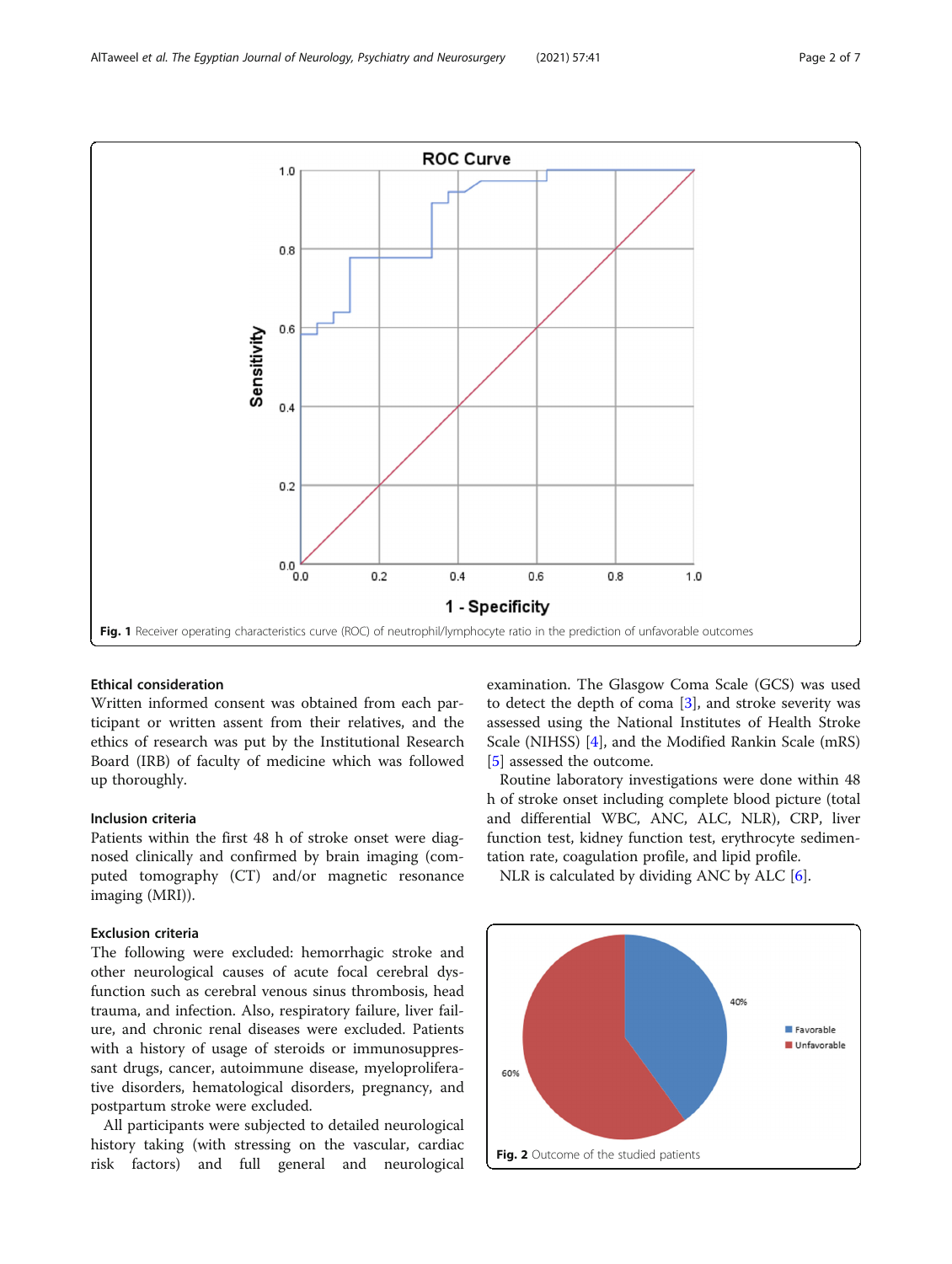<span id="page-1-0"></span>

## Ethical consideration

Written informed consent was obtained from each participant or written assent from their relatives, and the ethics of research was put by the Institutional Research Board (IRB) of faculty of medicine which was followed up thoroughly.

## Inclusion criteria

Patients within the first 48 h of stroke onset were diagnosed clinically and confirmed by brain imaging (computed tomography (CT) and/or magnetic resonance imaging (MRI)).

## Exclusion criteria

The following were excluded: hemorrhagic stroke and other neurological causes of acute focal cerebral dysfunction such as cerebral venous sinus thrombosis, head trauma, and infection. Also, respiratory failure, liver failure, and chronic renal diseases were excluded. Patients with a history of usage of steroids or immunosuppressant drugs, cancer, autoimmune disease, myeloproliferative disorders, hematological disorders, pregnancy, and postpartum stroke were excluded.

All participants were subjected to detailed neurological history taking (with stressing on the vascular, cardiac risk factors) and full general and neurological

examination. The Glasgow Coma Scale (GCS) was used to detect the depth of coma  $[3]$  $[3]$ , and stroke severity was assessed using the National Institutes of Health Stroke Scale (NIHSS) [[4\]](#page-6-0), and the Modified Rankin Scale (mRS) [[5\]](#page-6-0) assessed the outcome.

Routine laboratory investigations were done within 48 h of stroke onset including complete blood picture (total and differential WBC, ANC, ALC, NLR), CRP, liver function test, kidney function test, erythrocyte sedimentation rate, coagulation profile, and lipid profile.

NLR is calculated by dividing ANC by ALC  $[6]$  $[6]$ .

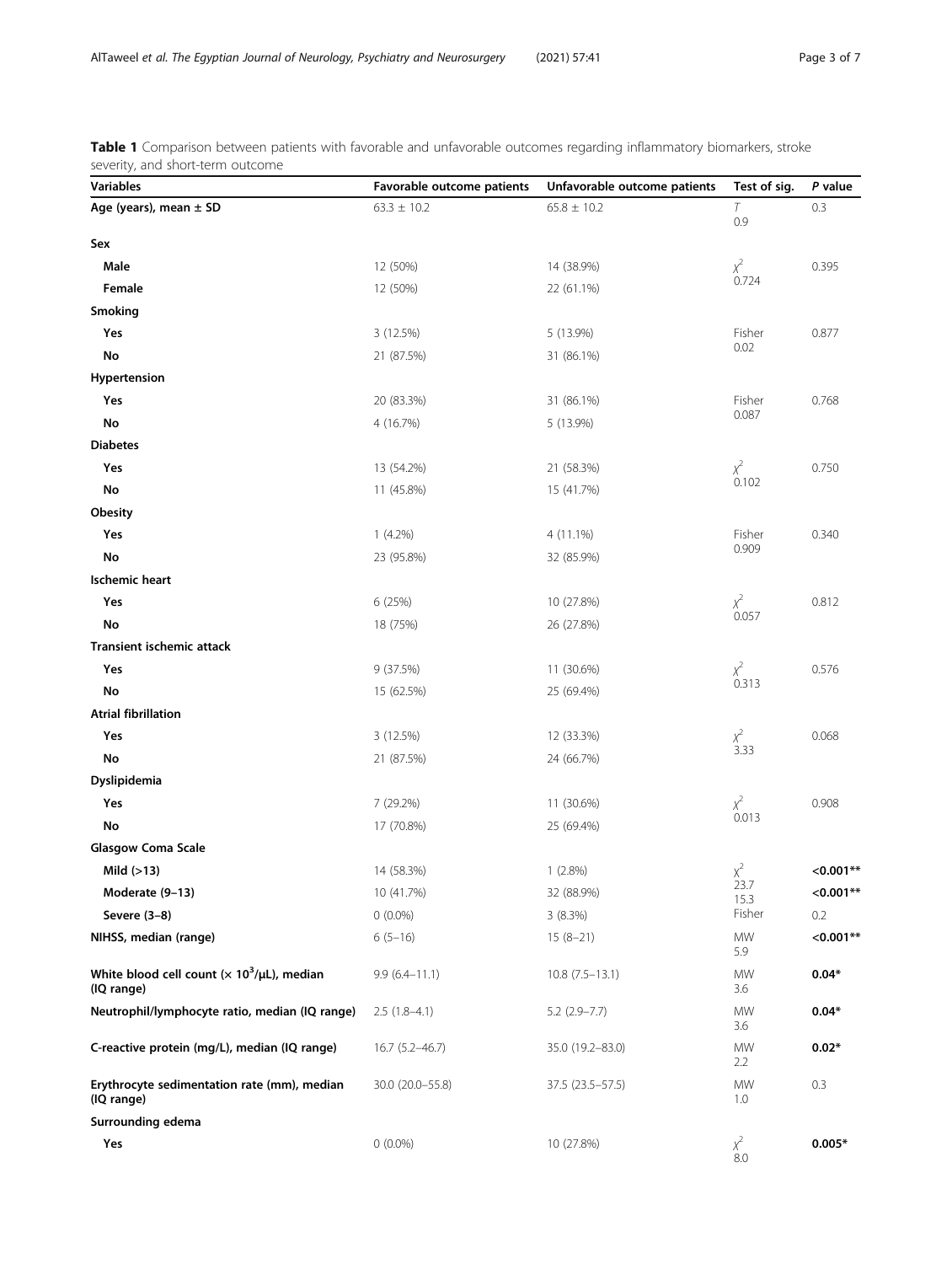| <b>Variables</b>                                               | Favorable outcome patients | Unfavorable outcome patients | Test of sig.        | P value     |
|----------------------------------------------------------------|----------------------------|------------------------------|---------------------|-------------|
| Age (years), mean $\pm$ SD                                     | $63.3 \pm 10.2$            | $65.8 \pm 10.2$              | $\tau$              | 0.3         |
|                                                                |                            |                              | 0.9                 |             |
| Sex                                                            |                            |                              |                     |             |
| Male                                                           | 12 (50%)                   | 14 (38.9%)                   | $x^2$<br>0.724      | 0.395       |
| Female                                                         | 12 (50%)                   | 22 (61.1%)                   |                     |             |
| Smoking                                                        |                            |                              |                     |             |
| Yes                                                            | 3 (12.5%)                  | 5 (13.9%)                    | Fisher<br>0.02      | 0.877       |
| No                                                             | 21 (87.5%)                 | 31 (86.1%)                   |                     |             |
| Hypertension                                                   |                            |                              |                     |             |
| Yes                                                            | 20 (83.3%)                 | 31 (86.1%)                   | Fisher<br>0.087     | 0.768       |
| No                                                             | 4 (16.7%)                  | 5 (13.9%)                    |                     |             |
| <b>Diabetes</b>                                                |                            |                              |                     |             |
| Yes                                                            | 13 (54.2%)                 | 21 (58.3%)                   | $\chi^{2}$<br>0.102 | 0.750       |
| No                                                             | 11 (45.8%)                 | 15 (41.7%)                   |                     |             |
| Obesity                                                        |                            |                              |                     |             |
| Yes                                                            | $1(4.2\%)$                 | 4 (11.1%)                    | Fisher<br>0.909     | 0.340       |
| No                                                             | 23 (95.8%)                 | 32 (85.9%)                   |                     |             |
| <b>Ischemic heart</b>                                          |                            |                              |                     |             |
| Yes                                                            | 6 (25%)                    | 10 (27.8%)                   | $x^2$<br>0.057      | 0.812       |
| No                                                             | 18 (75%)                   | 26 (27.8%)                   |                     |             |
| Transient ischemic attack                                      |                            |                              |                     |             |
| Yes                                                            | 9(37.5%)                   | 11 (30.6%)                   | $x^2$<br>0.313      | 0.576       |
| No                                                             | 15 (62.5%)                 | 25 (69.4%)                   |                     |             |
| <b>Atrial fibrillation</b>                                     |                            |                              |                     |             |
| Yes                                                            | 3 (12.5%)                  | 12 (33.3%)                   | $x^2$<br>3.33       | 0.068       |
| No                                                             | 21 (87.5%)                 | 24 (66.7%)                   |                     |             |
| Dyslipidemia                                                   |                            |                              |                     |             |
| Yes                                                            | 7 (29.2%)                  | 11 (30.6%)                   | $\chi^{2}$<br>0.013 | 0.908       |
| No                                                             | 17 (70.8%)                 | 25 (69.4%)                   |                     |             |
| <b>Glasgow Coma Scale</b>                                      |                            |                              |                     |             |
| Mild $(>13)$                                                   | 14 (58.3%)                 | 1(2.8%)                      | $x^2$               | $< 0.001**$ |
| Moderate (9-13)                                                | 10 (41.7%)                 | 32 (88.9%)                   | 23.7<br>15.3        | $< 0.001**$ |
| Severe (3-8)                                                   | $0(0.0\%)$                 | 3(8.3%)                      | Fisher              | 0.2         |
| NIHSS, median (range)                                          | $6(5-16)$                  | $15(8-21)$                   | <b>MW</b><br>5.9    | $< 0.001**$ |
| White blood cell count $(x 10^3/\mu L)$ , median<br>(IQ range) | $9.9(6.4 - 11.1)$          | $10.8(7.5-13.1)$             | MW<br>3.6           | $0.04*$     |
| Neutrophil/lymphocyte ratio, median (IQ range)                 | $2.5(1.8-4.1)$             | $5.2$ (2.9-7.7)              | MW<br>3.6           | $0.04*$     |
| C-reactive protein (mg/L), median (IQ range)                   | $16.7(5.2 - 46.7)$         | 35.0 (19.2-83.0)             | MW<br>2.2           | $0.02*$     |
| Erythrocyte sedimentation rate (mm), median<br>(IQ range)      | 30.0 (20.0-55.8)           | 37.5 (23.5-57.5)             | MW<br>1.0           | 0.3         |
| Surrounding edema                                              |                            |                              |                     |             |
| Yes                                                            | $0(0.0\%)$                 | 10 (27.8%)                   | $\chi^2$<br>8.0     | $0.005*$    |

<span id="page-2-0"></span>Table 1 Comparison between patients with favorable and unfavorable outcomes regarding inflammatory biomarkers, stroke severity, and short-term outcome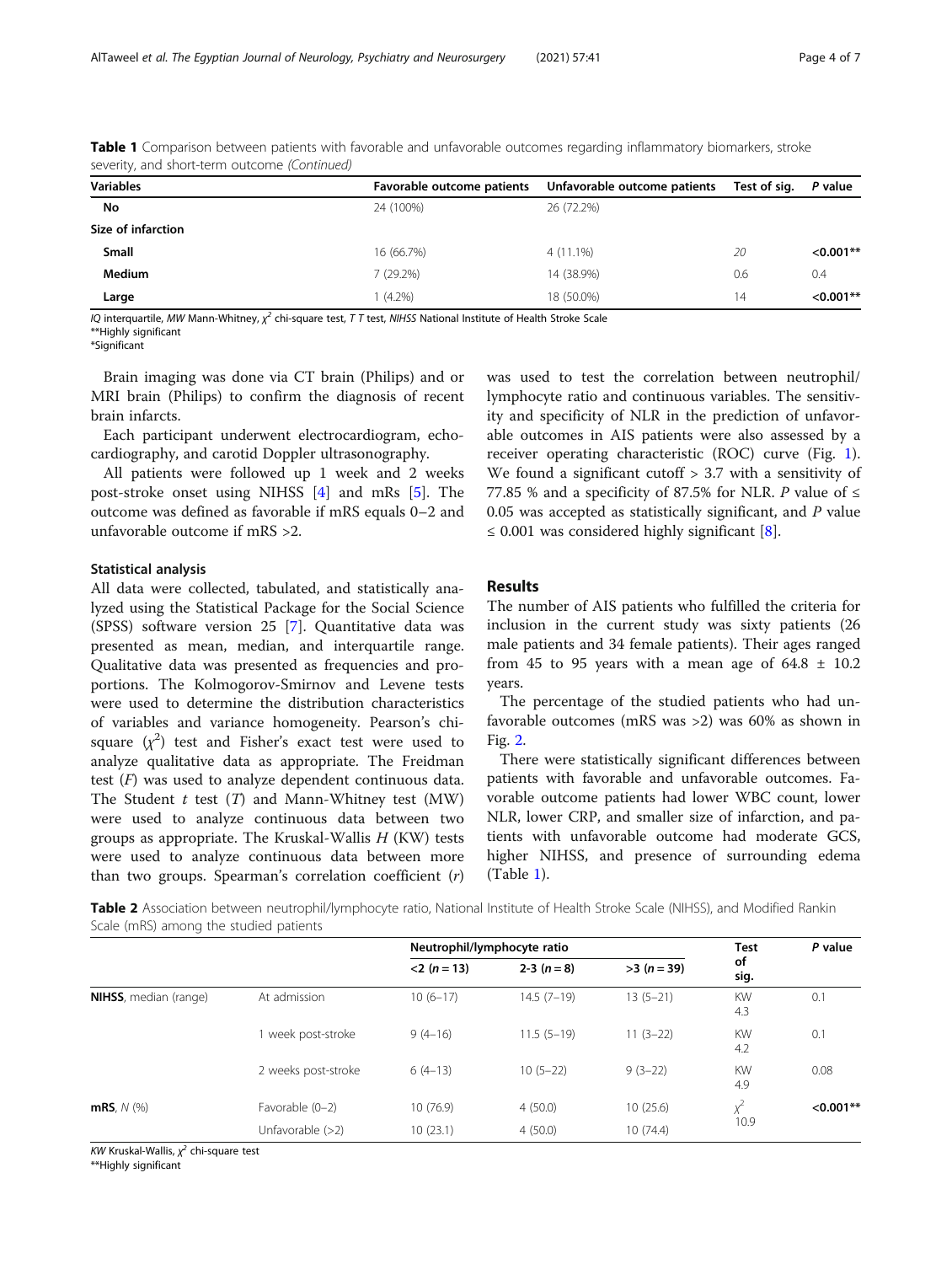| seventy, and short term battonic (commata) |                            |                              |              |             |
|--------------------------------------------|----------------------------|------------------------------|--------------|-------------|
| <b>Variables</b>                           | Favorable outcome patients | Unfavorable outcome patients | Test of sig. | P value     |
| No                                         | 24 (100%)                  | 26 (72.2%)                   |              |             |
| Size of infarction                         |                            |                              |              |             |
| <b>Small</b>                               | 16 (66.7%)                 | 4 (11.1%)                    | 20           | $< 0.001**$ |
| <b>Medium</b>                              | 7(29.2%)                   | 14 (38.9%)                   | 0.6          | 0.4         |
| Large                                      | $(4.2\%)$                  | 18 (50.0%)                   | 14           | $< 0.001**$ |

<span id="page-3-0"></span>Table 1 Comparison between patients with favorable and unfavorable outcomes regarding inflammatory biomarkers, stroke severity, and short-term outcome (Continued)

IQ interquartile, MW Mann-Whitney,  $\chi^2$  chi-square test, T T test, NIHSS National Institute of Health Stroke Scale

\*\*Highly significant

\*Significant

Brain imaging was done via CT brain (Philips) and or MRI brain (Philips) to confirm the diagnosis of recent brain infarcts.

Each participant underwent electrocardiogram, echocardiography, and carotid Doppler ultrasonography.

All patients were followed up 1 week and 2 weeks post-stroke onset using NIHSS [[4\]](#page-6-0) and mRs [[5\]](#page-6-0). The outcome was defined as favorable if mRS equals 0–2 and unfavorable outcome if mRS >2.

## Statistical analysis

All data were collected, tabulated, and statistically analyzed using the Statistical Package for the Social Science (SPSS) software version 25 [\[7](#page-6-0)]. Quantitative data was presented as mean, median, and interquartile range. Qualitative data was presented as frequencies and proportions. The Kolmogorov-Smirnov and Levene tests were used to determine the distribution characteristics of variables and variance homogeneity. Pearson's chisquare  $(\chi^2)$  test and Fisher's exact test were used to analyze qualitative data as appropriate. The Freidman test  $(F)$  was used to analyze dependent continuous data. The Student  $t$  test  $(T)$  and Mann-Whitney test  $(MW)$ were used to analyze continuous data between two groups as appropriate. The Kruskal-Wallis  $H$  (KW) tests were used to analyze continuous data between more than two groups. Spearman's correlation coefficient (r)

was used to test the correlation between neutrophil/ lymphocyte ratio and continuous variables. The sensitivity and specificity of NLR in the prediction of unfavorable outcomes in AIS patients were also assessed by a receiver operating characteristic (ROC) curve (Fig. [1](#page-1-0)). We found a significant cutoff > 3.7 with a sensitivity of 77.85 % and a specificity of 87.5% for NLR. P value of  $\leq$ 0.05 was accepted as statistically significant, and  $P$  value ≤ 0.001 was considered highly significant  $[8]$  $[8]$ .

## Results

The number of AIS patients who fulfilled the criteria for inclusion in the current study was sixty patients (26 male patients and 34 female patients). Their ages ranged from 45 to 95 years with a mean age of  $64.8 \pm 10.2$ years.

The percentage of the studied patients who had unfavorable outcomes (mRS was >2) was 60% as shown in Fig. [2](#page-1-0).

There were statistically significant differences between patients with favorable and unfavorable outcomes. Favorable outcome patients had lower WBC count, lower NLR, lower CRP, and smaller size of infarction, and patients with unfavorable outcome had moderate GCS, higher NIHSS, and presence of surrounding edema (Table [1\)](#page-2-0).

Table 2 Association between neutrophil/lymphocyte ratio, National Institute of Health Stroke Scale (NIHSS), and Modified Rankin Scale (mRS) among the studied patients

|                               |                     | Neutrophil/lymphocyte ratio |              | <b>Test</b> | P value          |             |
|-------------------------------|---------------------|-----------------------------|--------------|-------------|------------------|-------------|
|                               |                     | $<$ 2 (n = 13)              | $2-3(n=8)$   | $>3(n=39)$  | of<br>sig.       |             |
| <b>NIHSS</b> , median (range) | At admission        | $10(6-17)$                  | $14.5(7-19)$ | $13(5-21)$  | <b>KW</b><br>4.3 | 0.1         |
|                               | 1 week post-stroke  | $9(4-16)$                   | $11.5(5-19)$ | $11(3-22)$  | <b>KW</b><br>4.2 | 0.1         |
|                               | 2 weeks post-stroke | $6(4-13)$                   | $10(5-22)$   | $9(3-22)$   | <b>KW</b><br>4.9 | 0.08        |
| $mRS, N$ (%)                  | Favorable (0-2)     | 10(76.9)                    | 4(50.0)      | 10(25.6)    | $\sqrt{2}$       | $< 0.001**$ |
|                               | Unfavorable $(>2)$  | 10(23.1)                    | 4(50.0)      | 10(74.4)    | 10.9             |             |

KW Kruskal-Wallis,  $\chi^2$  chi-square test

\*\*Highly significant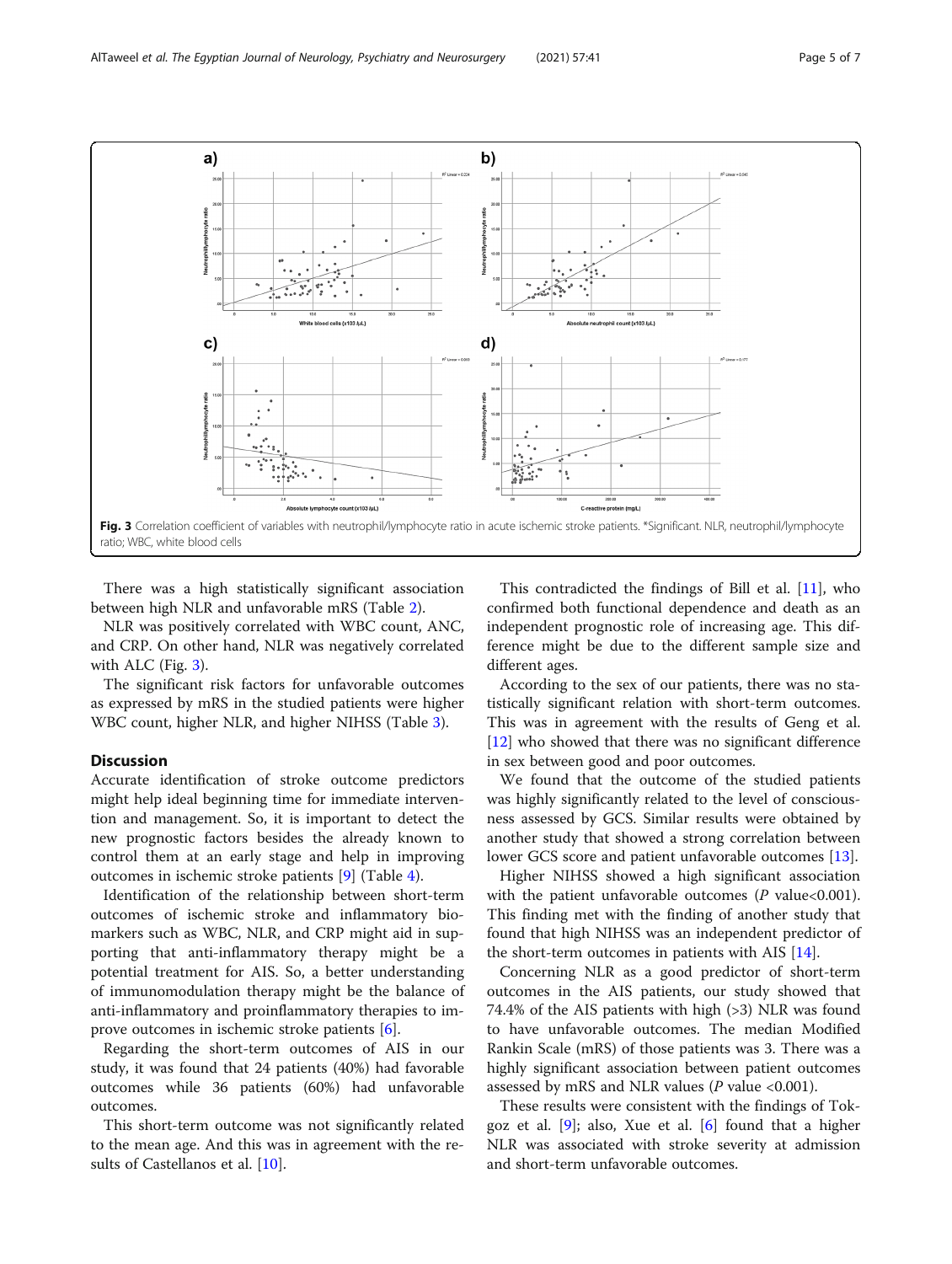

There was a high statistically significant association between high NLR and unfavorable mRS (Table [2](#page-3-0)).

NLR was positively correlated with WBC count, ANC, and CRP. On other hand, NLR was negatively correlated with ALC (Fig. 3).

The significant risk factors for unfavorable outcomes as expressed by mRS in the studied patients were higher WBC count, higher NLR, and higher NIHSS (Table [3\)](#page-5-0).

## **Discussion**

Accurate identification of stroke outcome predictors might help ideal beginning time for immediate intervention and management. So, it is important to detect the new prognostic factors besides the already known to control them at an early stage and help in improving outcomes in ischemic stroke patients [[9\]](#page-6-0) (Table [4\)](#page-5-0).

Identification of the relationship between short-term outcomes of ischemic stroke and inflammatory biomarkers such as WBC, NLR, and CRP might aid in supporting that anti-inflammatory therapy might be a potential treatment for AIS. So, a better understanding of immunomodulation therapy might be the balance of anti-inflammatory and proinflammatory therapies to improve outcomes in ischemic stroke patients [[6\]](#page-6-0).

Regarding the short-term outcomes of AIS in our study, it was found that 24 patients (40%) had favorable outcomes while 36 patients (60%) had unfavorable outcomes.

This short-term outcome was not significantly related to the mean age. And this was in agreement with the results of Castellanos et al. [\[10\]](#page-6-0).

This contradicted the findings of Bill et al. [[11\]](#page-6-0), who confirmed both functional dependence and death as an independent prognostic role of increasing age. This difference might be due to the different sample size and different ages.

According to the sex of our patients, there was no statistically significant relation with short-term outcomes. This was in agreement with the results of Geng et al. [[12\]](#page-6-0) who showed that there was no significant difference in sex between good and poor outcomes.

We found that the outcome of the studied patients was highly significantly related to the level of consciousness assessed by GCS. Similar results were obtained by another study that showed a strong correlation between lower GCS score and patient unfavorable outcomes [[13\]](#page-6-0).

Higher NIHSS showed a high significant association with the patient unfavorable outcomes  $(P \text{ value} < 0.001)$ . This finding met with the finding of another study that found that high NIHSS was an independent predictor of the short-term outcomes in patients with AIS [\[14\]](#page-6-0).

Concerning NLR as a good predictor of short-term outcomes in the AIS patients, our study showed that 74.4% of the AIS patients with high (>3) NLR was found to have unfavorable outcomes. The median Modified Rankin Scale (mRS) of those patients was 3. There was a highly significant association between patient outcomes assessed by mRS and NLR values ( $P$  value <0.001).

These results were consistent with the findings of Tokgoz et al. [[9\]](#page-6-0); also, Xue et al. [\[6](#page-6-0)] found that a higher NLR was associated with stroke severity at admission and short-term unfavorable outcomes.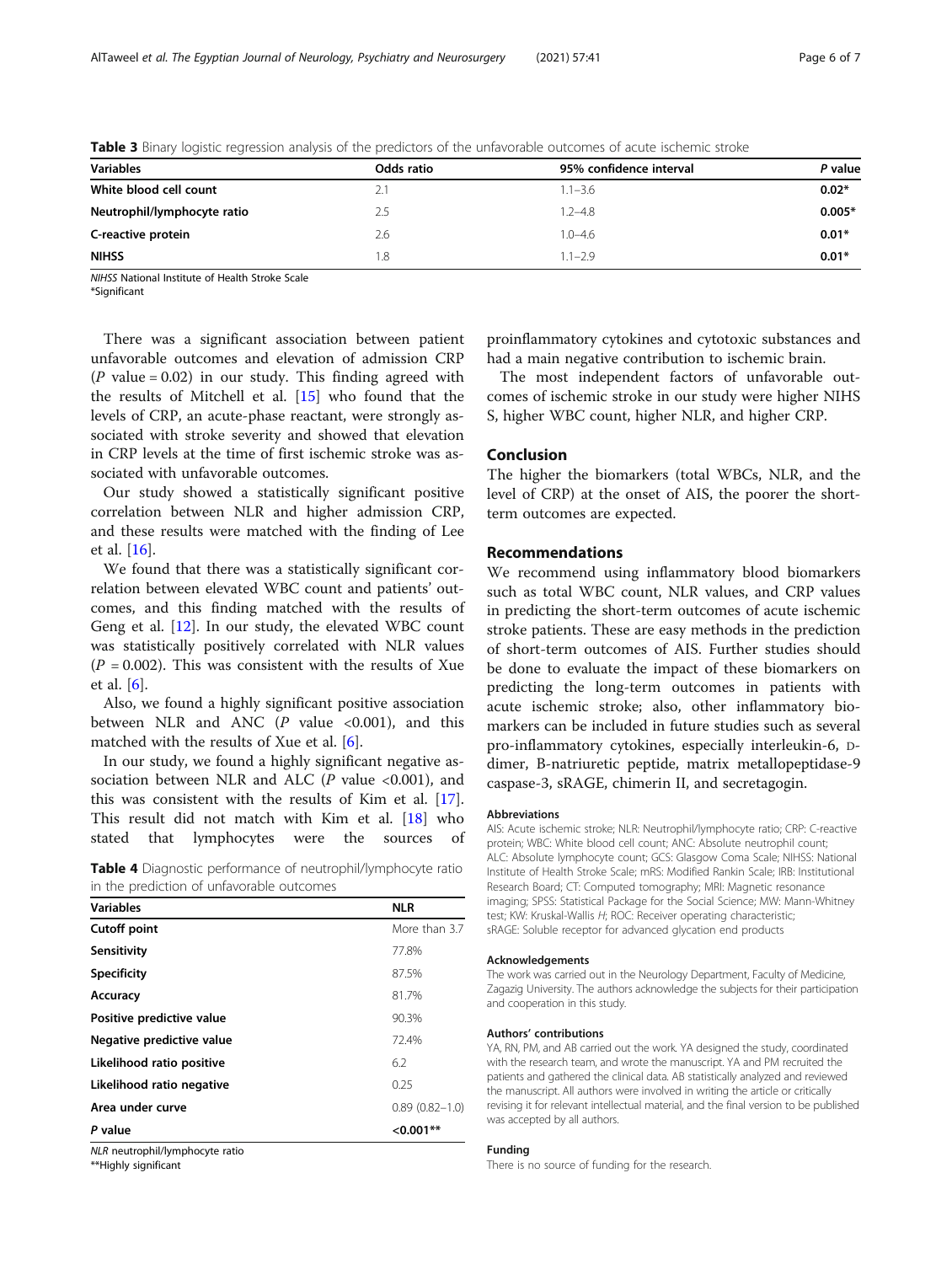| Odds ratio | 95% confidence interval | P value  |
|------------|-------------------------|----------|
| 2.1        | $1.1 - 3.6$             | $0.02*$  |
| 2.5        | $1.2 - 4.8$             | $0.005*$ |
| 2.6        | $1.0 - 4.6$             | $0.01*$  |
| 1.8        | $1.1 - 2.9$             | $0.01*$  |
|            |                         |          |

<span id="page-5-0"></span>Table 3 Binary logistic regression analysis of the predictors of the unfavorable outcomes of acute ischemic stroke

NIHSS National Institute of Health Stroke Scale

\*Significant

There was a significant association between patient unfavorable outcomes and elevation of admission CRP (P value =  $0.02$ ) in our study. This finding agreed with the results of Mitchell et al. [[15\]](#page-6-0) who found that the levels of CRP, an acute-phase reactant, were strongly associated with stroke severity and showed that elevation in CRP levels at the time of first ischemic stroke was associated with unfavorable outcomes.

Our study showed a statistically significant positive correlation between NLR and higher admission CRP, and these results were matched with the finding of Lee et al. [\[16](#page-6-0)].

We found that there was a statistically significant correlation between elevated WBC count and patients' outcomes, and this finding matched with the results of Geng et al. [[12\]](#page-6-0). In our study, the elevated WBC count was statistically positively correlated with NLR values  $(P = 0.002)$ . This was consistent with the results of Xue et al. [\[6](#page-6-0)].

Also, we found a highly significant positive association between NLR and ANC  $(P \text{ value } <0.001)$ , and this matched with the results of Xue et al. [[6\]](#page-6-0).

In our study, we found a highly significant negative association between NLR and ALC ( $P$  value <0.001), and this was consistent with the results of Kim et al. [\[17](#page-6-0)]. This result did not match with Kim et al. [[18\]](#page-6-0) who stated that lymphocytes were the sources of

|                                           |  | Table 4 Diagnostic performance of neutrophil/lymphocyte ratio |  |
|-------------------------------------------|--|---------------------------------------------------------------|--|
| in the prediction of unfavorable outcomes |  |                                                               |  |

| <b>Variables</b>          | <b>NLR</b>         |
|---------------------------|--------------------|
| <b>Cutoff point</b>       | More than 3.7      |
| Sensitivity               | 77.8%              |
| <b>Specificity</b>        | 87.5%              |
| Accuracy                  | 81.7%              |
| Positive predictive value | 90.3%              |
| Negative predictive value | 72.4%              |
| Likelihood ratio positive | 6.2                |
| Likelihood ratio negative | 0.25               |
| Area under curve          | $0.89(0.82 - 1.0)$ |
| P value                   | $< 0.001**$        |
|                           |                    |

NLR neutrophil/lymphocyte ratio

\*\*Highly significant

proinflammatory cytokines and cytotoxic substances and had a main negative contribution to ischemic brain.

The most independent factors of unfavorable outcomes of ischemic stroke in our study were higher NIHS S, higher WBC count, higher NLR, and higher CRP.

## Conclusion

The higher the biomarkers (total WBCs, NLR, and the level of CRP) at the onset of AIS, the poorer the shortterm outcomes are expected.

#### Recommendations

We recommend using inflammatory blood biomarkers such as total WBC count, NLR values, and CRP values in predicting the short-term outcomes of acute ischemic stroke patients. These are easy methods in the prediction of short-term outcomes of AIS. Further studies should be done to evaluate the impact of these biomarkers on predicting the long-term outcomes in patients with acute ischemic stroke; also, other inflammatory biomarkers can be included in future studies such as several pro-inflammatory cytokines, especially interleukin-6, Ddimer, B-natriuretic peptide, matrix metallopeptidase-9 caspase-3, sRAGE, chimerin II, and secretagogin.

#### Abbreviations

AIS: Acute ischemic stroke; NLR: Neutrophil/lymphocyte ratio; CRP: C-reactive protein; WBC: White blood cell count; ANC: Absolute neutrophil count; ALC: Absolute lymphocyte count; GCS: Glasgow Coma Scale; NIHSS: National Institute of Health Stroke Scale; mRS: Modified Rankin Scale; IRB: Institutional Research Board; CT: Computed tomography; MRI: Magnetic resonance imaging; SPSS: Statistical Package for the Social Science; MW: Mann-Whitney test; KW: Kruskal-Wallis H; ROC: Receiver operating characteristic; sRAGE: Soluble receptor for advanced glycation end products

#### Acknowledgements

The work was carried out in the Neurology Department, Faculty of Medicine, Zagazig University. The authors acknowledge the subjects for their participation and cooperation in this study.

#### Authors' contributions

YA, RN, PM, and AB carried out the work. YA designed the study, coordinated with the research team, and wrote the manuscript. YA and PM recruited the patients and gathered the clinical data. AB statistically analyzed and reviewed the manuscript. All authors were involved in writing the article or critically revising it for relevant intellectual material, and the final version to be published was accepted by all authors.

## Funding

There is no source of funding for the research.